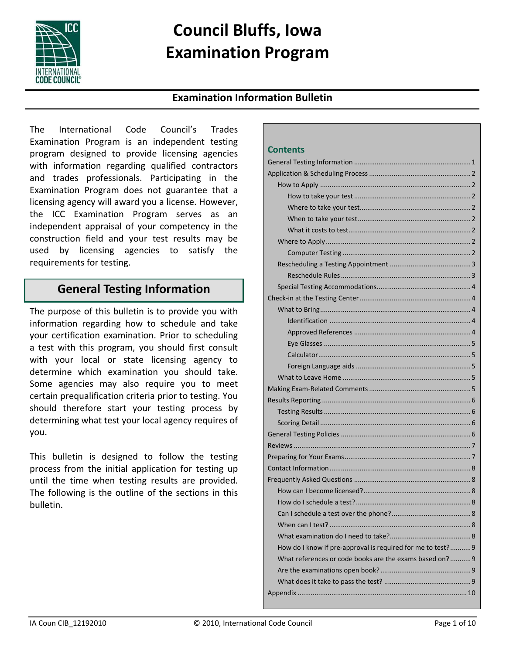

# **Council Bluffs, Iowa Examination Program**

### **Examination Information Bulletin**

The International Code Council's Trades Examination Program is an independent testing program designed to provide licensing agencies with information regarding qualified contractors and trades professionals. Participating in the Examination Program does not guarantee that a licensing agency will award you a license. However, the ICC Examination Program serves as an independent appraisal of your competency in the construction field and your test results may be used by licensing agencies to satisfy the requirements for testing.

## **General Testing Information**

The purpose of this bulletin is to provide you with information regarding how to schedule and take your certification examination. Prior to scheduling a test with this program, you should first consult with your local or state licensing agency to determine which examination you should take. Some agencies may also require you to meet certain prequalification criteria prior to testing. You should therefore start your testing process by determining what test your local agency requires of you.

This bulletin is designed to follow the testing process from the initial application for testing up until the time when testing results are provided. The following is the outline of the sections in this bulletin.

#### **Contents**

| 8<br>When can I test?                                       |  |
|-------------------------------------------------------------|--|
|                                                             |  |
| How do I know if pre-approval is required for me to test? 9 |  |
| What references or code books are the exams based on? 9     |  |
|                                                             |  |
|                                                             |  |
|                                                             |  |
|                                                             |  |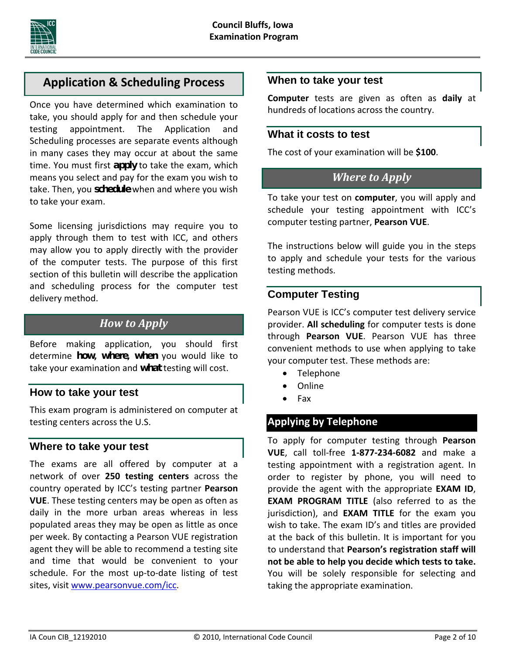

## **Application & Scheduling Process**

Once you have determined which examination to take, you should apply for and then schedule your testing appointment. The Application and Scheduling processes are separate events although in many cases they may occur at about the same time. You must first *apply* to take the exam, which means you select and pay for the exam you wish to take. Then, you *schedule* when and where you wish to take your exam.

Some licensing jurisdictions may require you to apply through them to test with ICC, and others may allow you to apply directly with the provider of the computer tests. The purpose of this first section of this bulletin will describe the application and scheduling process for the computer test delivery method.

## *How to Apply*

Before making application, you should first determine *how***,** *where***,** *when* you would like to take your examination and *what* testing will cost.

### **How to take your test**

This exam program is administered on computer at testing centers across the U.S.

### **Where to take your test**

The exams are all offered by computer at a network of over **250 testing centers** across the country operated by ICC's testing partner **Pearson VUE**. These testing centers may be open as often as daily in the more urban areas whereas in less populated areas they may be open as little as once per week. By contacting a Pearson VUE registration agent they will be able to recommend a testing site and time that would be convenient to your schedule. For the most up-to-date listing of test sites, visit www.pearsonvue.com/icc.

#### **When to take your test**

**Computer** tests are given as often as **daily** at hundreds of locations across the country.

#### **What it costs to test**

The cost of your examination will be **\$100**.

### *Where to Apply*

To take your test on **computer**, you will apply and schedule your testing appointment with ICC's computer testing partner, **Pearson VUE**.

The instructions below will guide you in the steps to apply and schedule your tests for the various testing methods.

#### **Computer Testing**

Pearson VUE is ICC's computer test delivery service provider. **All scheduling** for computer tests is done through **Pearson VUE**. Pearson VUE has three convenient methods to use when applying to take your computer test. These methods are:

- Telephone
- Online
- $\bullet$  Fax

## **Applying by Telephone**

To apply for computer testing through **Pearson VUE**, call toll‐free **1‐877‐234‐6082** and make a testing appointment with a registration agent. In order to register by phone, you will need to provide the agent with the appropriate **EXAM ID**, **EXAM PROGRAM TITLE** (also referred to as the jurisdiction), and **EXAM TITLE** for the exam you wish to take. The exam ID's and titles are provided at the back of this bulletin. It is important for you to understand that **Pearson's registration staff will not be able to help you decide which tests to take.** You will be solely responsible for selecting and taking the appropriate examination.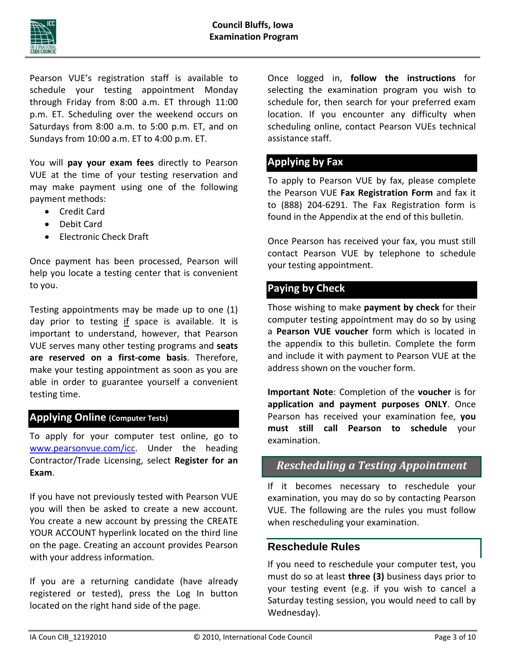

Pearson VUE's registration staff is available to schedule your testing appointment Monday through Friday from 8:00 a.m. ET through 11:00 p.m. ET. Scheduling over the weekend occurs on Saturdays from 8:00 a.m. to 5:00 p.m. ET, and on Sundays from 10:00 a.m. ET to 4:00 p.m. ET.

You will **pay your exam fees** directly to Pearson VUE at the time of your testing reservation and may make payment using one of the following payment methods:

- Credit Card
- Debit Card
- Electronic Check Draft

Once payment has been processed, Pearson will help you locate a testing center that is convenient to you.

Testing appointments may be made up to one (1) day prior to testing if space is available. It is important to understand, however, that Pearson VUE serves many other testing programs and **seats are reserved on a first‐come basis**. Therefore, make your testing appointment as soon as you are able in order to guarantee yourself a convenient testing time.

### **Applying Online (Computer Tests)**

To apply for your computer test online, go to www.pearsonvue.com/icc. Under the heading Contractor/Trade Licensing, select **Register for an Exam**.

If you have not previously tested with Pearson VUE you will then be asked to create a new account. You create a new account by pressing the CREATE YOUR ACCOUNT hyperlink located on the third line on the page. Creating an account provides Pearson with your address information.

If you are a returning candidate (have already registered or tested), press the Log In button located on the right hand side of the page.

Once logged in, **follow the instructions** for selecting the examination program you wish to schedule for, then search for your preferred exam location. If you encounter any difficulty when scheduling online, contact Pearson VUEs technical assistance staff.

### **Applying by Fax**

To apply to Pearson VUE by fax, please complete the Pearson VUE **Fax Registration Form** and fax it to (888) 204‐6291. The Fax Registration form is found in the Appendix at the end of this bulletin.

Once Pearson has received your fax, you must still contact Pearson VUE by telephone to schedule your testing appointment.

## **Paying by Check**

Those wishing to make **payment by check** for their computer testing appointment may do so by using a **Pearson VUE voucher** form which is located in the appendix to this bulletin. Complete the form and include it with payment to Pearson VUE at the address shown on the voucher form.

**Important Note**: Completion of the **voucher** is for **application and payment purposes ONLY**. Once Pearson has received your examination fee, **you must still call Pearson to schedule** your examination.

### *Rescheduling a Testing Appointment*

If it becomes necessary to reschedule your examination, you may do so by contacting Pearson VUE. The following are the rules you must follow when rescheduling your examination.

#### **Reschedule Rules**

If you need to reschedule your computer test, you must do so at least **three (3)** business days prior to your testing event (e.g. if you wish to cancel a Saturday testing session, you would need to call by Wednesday).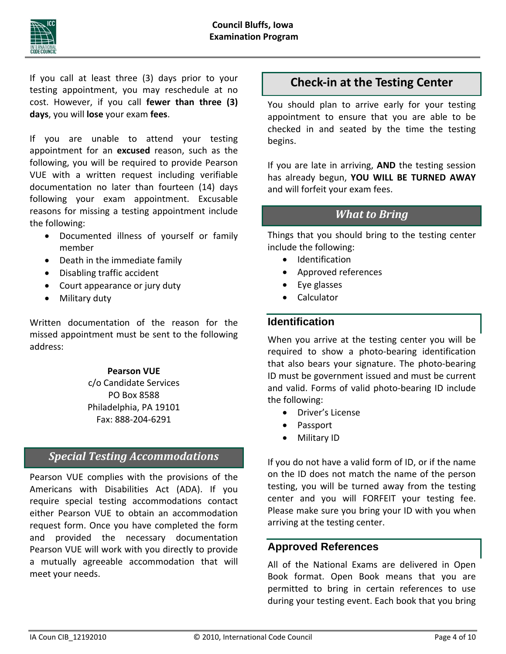

If you call at least three (3) days prior to your testing appointment, you may reschedule at no cost. However, if you call **fewer than three (3) days**, you will **lose** your exam **fees**.

If you are unable to attend your testing appointment for an **excused** reason, such as the following, you will be required to provide Pearson VUE with a written request including verifiable documentation no later than fourteen (14) days following your exam appointment. Excusable reasons for missing a testing appointment include the following:

- Documented illness of yourself or family member
- Death in the immediate family
- Disabling traffic accident
- Court appearance or jury duty
- Military duty

Written documentation of the reason for the missed appointment must be sent to the following address:

#### **Pearson VUE**

c/o Candidate Services PO Box 8588 Philadelphia, PA 19101 Fax: 888‐204‐6291

## *Special Testing Accommodations*

Pearson VUE complies with the provisions of the Americans with Disabilities Act (ADA). If you require special testing accommodations contact either Pearson VUE to obtain an accommodation request form. Once you have completed the form and provided the necessary documentation Pearson VUE will work with you directly to provide a mutually agreeable accommodation that will meet your needs.

## **Check‐in at the Testing Center**

You should plan to arrive early for your testing appointment to ensure that you are able to be checked in and seated by the time the testing begins.

If you are late in arriving, **AND** the testing session has already begun, **YOU WILL BE TURNED AWAY** and will forfeit your exam fees.

## *What to Bring*

Things that you should bring to the testing center include the following:

- Identification
- Approved references
- Eye glasses
- Calculator

### **Identification**

When you arrive at the testing center you will be required to show a photo‐bearing identification that also bears your signature. The photo‐bearing ID must be government issued and must be current and valid. Forms of valid photo‐bearing ID include the following:

- Driver's License
- Passport
- Military ID

If you do not have a valid form of ID, or if the name on the ID does not match the name of the person testing, you will be turned away from the testing center and you will FORFEIT your testing fee. Please make sure you bring your ID with you when arriving at the testing center.

### **Approved References**

All of the National Exams are delivered in Open Book format. Open Book means that you are permitted to bring in certain references to use during your testing event. Each book that you bring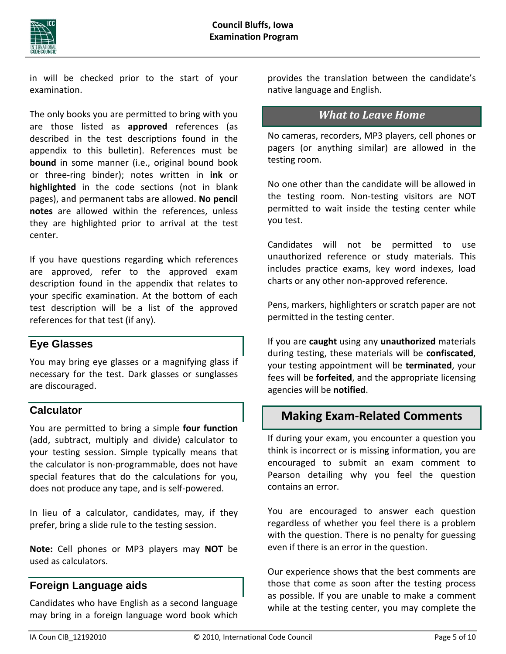

in will be checked prior to the start of your examination.

The only books you are permitted to bring with you are those listed as **approved** references (as described in the test descriptions found in the appendix to this bulletin). References must be **bound** in some manner (i.e., original bound book or three‐ring binder); notes written in **ink** or **highlighted** in the code sections (not in blank pages), and permanent tabs are allowed. **No pencil notes** are allowed within the references, unless they are highlighted prior to arrival at the test center.

If you have questions regarding which references are approved, refer to the approved exam description found in the appendix that relates to your specific examination. At the bottom of each test description will be a list of the approved references for that test (if any).

### **Eye Glasses**

You may bring eye glasses or a magnifying glass if necessary for the test. Dark glasses or sunglasses are discouraged.

### **Calculator**

You are permitted to bring a simple **four function** (add, subtract, multiply and divide) calculator to your testing session. Simple typically means that the calculator is non‐programmable, does not have special features that do the calculations for you, does not produce any tape, and is self‐powered.

In lieu of a calculator, candidates, may, if they prefer, bring a slide rule to the testing session.

**Note:** Cell phones or MP3 players may **NOT** be used as calculators.

## **Foreign Language aids**

Candidates who have English as a second language may bring in a foreign language word book which provides the translation between the candidate's native language and English.

## *What to Leave Home*

No cameras, recorders, MP3 players, cell phones or pagers (or anything similar) are allowed in the testing room.

No one other than the candidate will be allowed in the testing room. Non‐testing visitors are NOT permitted to wait inside the testing center while you test.

Candidates will not be permitted to use unauthorized reference or study materials. This includes practice exams, key word indexes, load charts or any other non‐approved reference.

Pens, markers, highlighters or scratch paper are not permitted in the testing center.

If you are **caught** using any **unauthorized** materials during testing, these materials will be **confiscated**, your testing appointment will be **terminated**, your fees will be **forfeited**, and the appropriate licensing agencies will be **notified**.

## **Making Exam‐Related Comments**

If during your exam, you encounter a question you think is incorrect or is missing information, you are encouraged to submit an exam comment to Pearson detailing why you feel the question contains an error.

You are encouraged to answer each question regardless of whether you feel there is a problem with the question. There is no penalty for guessing even if there is an error in the question.

Our experience shows that the best comments are those that come as soon after the testing process as possible. If you are unable to make a comment while at the testing center, you may complete the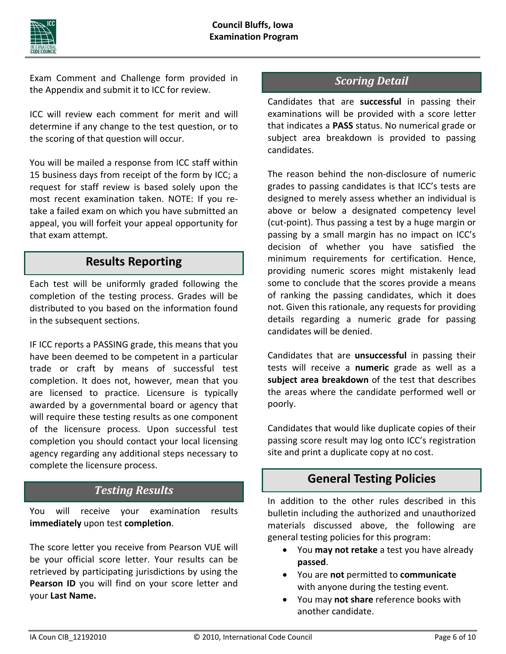

Exam Comment and Challenge form provided in the Appendix and submit it to ICC for review.

ICC will review each comment for merit and will determine if any change to the test question, or to the scoring of that question will occur.

You will be mailed a response from ICC staff within 15 business days from receipt of the form by ICC; a request for staff review is based solely upon the most recent examination taken. NOTE: If you re‐ take a failed exam on which you have submitted an appeal, you will forfeit your appeal opportunity for that exam attempt.

## **Results Reporting**

Each test will be uniformly graded following the completion of the testing process. Grades will be distributed to you based on the information found in the subsequent sections.

IF ICC reports a PASSING grade, this means that you have been deemed to be competent in a particular trade or craft by means of successful test completion. It does not, however, mean that you are licensed to practice. Licensure is typically awarded by a governmental board or agency that will require these testing results as one component of the licensure process. Upon successful test completion you should contact your local licensing agency regarding any additional steps necessary to complete the licensure process.

## *Testing Results*

You will receive your examination results **immediately** upon test **completion**.

The score letter you receive from Pearson VUE will be your official score letter. Your results can be retrieved by participating jurisdictions by using the **Pearson ID** you will find on your score letter and your **Last Name.**

## *Scoring Detail*

Candidates that are **successful** in passing their examinations will be provided with a score letter that indicates a **PASS** status. No numerical grade or subject area breakdown is provided to passing candidates.

The reason behind the non‐disclosure of numeric grades to passing candidates is that ICC's tests are designed to merely assess whether an individual is above or below a designated competency level (cut‐point). Thus passing a test by a huge margin or passing by a small margin has no impact on ICC's decision of whether you have satisfied the minimum requirements for certification. Hence, providing numeric scores might mistakenly lead some to conclude that the scores provide a means of ranking the passing candidates, which it does not. Given this rationale, any requests for providing details regarding a numeric grade for passing candidates will be denied.

Candidates that are **unsuccessful** in passing their tests will receive a **numeric** grade as well as a **subject area breakdown** of the test that describes the areas where the candidate performed well or poorly.

Candidates that would like duplicate copies of their passing score result may log onto ICC's registration site and print a duplicate copy at no cost.

## **General Testing Policies**

In addition to the other rules described in this bulletin including the authorized and unauthorized materials discussed above, the following are general testing policies for this program:

- You **may not retake** a test you have already **passed**.
- You are **not** permitted to **communicate** with anyone during the testing event.
- You may **not share** reference books with another candidate.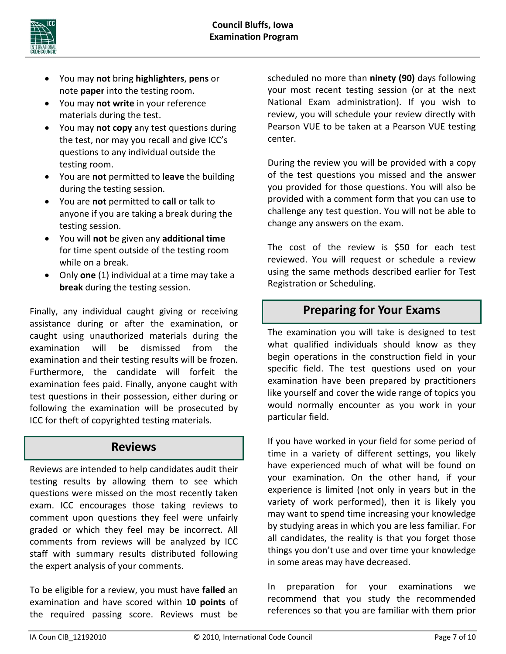

- You may **not** bring **highlighters**, **pens** or note **paper** into the testing room.
- You may **not write** in your reference materials during the test.
- You may **not copy** any test questions during the test, nor may you recall and give ICC's questions to any individual outside the testing room.
- You are **not** permitted to **leave** the building during the testing session.
- You are **not** permitted to **call** or talk to anyone if you are taking a break during the testing session.
- You will **not** be given any **additional time** for time spent outside of the testing room while on a break.
- Only **one** (1) individual at a time may take a **break** during the testing session.

Finally, any individual caught giving or receiving assistance during or after the examination, or caught using unauthorized materials during the examination will be dismissed from the examination and their testing results will be frozen. Furthermore, the candidate will forfeit the examination fees paid. Finally, anyone caught with test questions in their possession, either during or following the examination will be prosecuted by ICC for theft of copyrighted testing materials.

## **Reviews**

Reviews are intended to help candidates audit their testing results by allowing them to see which questions were missed on the most recently taken exam. ICC encourages those taking reviews to comment upon questions they feel were unfairly graded or which they feel may be incorrect. All comments from reviews will be analyzed by ICC staff with summary results distributed following the expert analysis of your comments.

To be eligible for a review, you must have **failed** an examination and have scored within **10 points** of the required passing score. Reviews must be

scheduled no more than **ninety (90)** days following your most recent testing session (or at the next National Exam administration). If you wish to review, you will schedule your review directly with Pearson VUE to be taken at a Pearson VUE testing center.

During the review you will be provided with a copy of the test questions you missed and the answer you provided for those questions. You will also be provided with a comment form that you can use to challenge any test question. You will not be able to change any answers on the exam.

The cost of the review is \$50 for each test reviewed. You will request or schedule a review using the same methods described earlier for Test Registration or Scheduling.

## **Preparing for Your Exams**

The examination you will take is designed to test what qualified individuals should know as they begin operations in the construction field in your specific field. The test questions used on your examination have been prepared by practitioners like yourself and cover the wide range of topics you would normally encounter as you work in your particular field.

If you have worked in your field for some period of time in a variety of different settings, you likely have experienced much of what will be found on your examination. On the other hand, if your experience is limited (not only in years but in the variety of work performed), then it is likely you may want to spend time increasing your knowledge by studying areas in which you are less familiar. For all candidates, the reality is that you forget those things you don't use and over time your knowledge in some areas may have decreased.

In preparation for your examinations we recommend that you study the recommended references so that you are familiar with them prior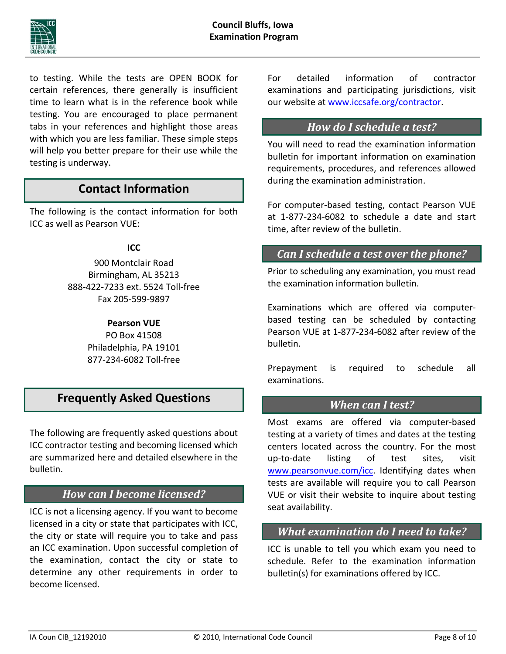

to testing. While the tests are OPEN BOOK for certain references, there generally is insufficient time to learn what is in the reference book while testing. You are encouraged to place permanent tabs in your references and highlight those areas with which you are less familiar. These simple steps will help you better prepare for their use while the testing is underway.

## **Contact Information**

The following is the contact information for both ICC as well as Pearson VUE:

#### **ICC**

900 Montclair Road Birmingham, AL 35213 888‐422‐7233 ext. 5524 Toll‐free Fax 205‐599‐9897

#### **Pearson VUE**

PO Box 41508 Philadelphia, PA 19101 877‐234‐6082 Toll‐free

## **Frequently Asked Questions**

The following are frequently asked questions about ICC contractor testing and becoming licensed which are summarized here and detailed elsewhere in the bulletin.

## *How can I become licensed?*

ICC is not a licensing agency. If you want to become licensed in a city or state that participates with ICC, the city or state will require you to take and pass an ICC examination. Upon successful completion of the examination, contact the city or state to determine any other requirements in order to become licensed.

For detailed information of contractor examinations and participating jurisdictions, visit our website at www.iccsafe.org/contractor.

## *How do I schedule a test?*

You will need to read the examination information bulletin for important information on examination requirements, procedures, and references allowed during the examination administration.

For computer‐based testing, contact Pearson VUE at 1‐877‐234‐6082 to schedule a date and start time, after review of the bulletin.

## *Can I schedule a test over the phone?*

Prior to scheduling any examination, you must read the examination information bulletin.

Examinations which are offered via computer‐ based testing can be scheduled by contacting Pearson VUE at 1‐877‐234‐6082 after review of the bulletin.

Prepayment is required to schedule all examinations.

### *When can I test?*

Most exams are offered via computer‐based testing at a variety of times and dates at the testing centers located across the country. For the most up‐to‐date listing of test sites, visit www.pearsonvue.com/icc. Identifying dates when tests are available will require you to call Pearson VUE or visit their website to inquire about testing seat availability.

### *What examination do I need to take?*

ICC is unable to tell you which exam you need to schedule. Refer to the examination information bulletin(s) for examinations offered by ICC.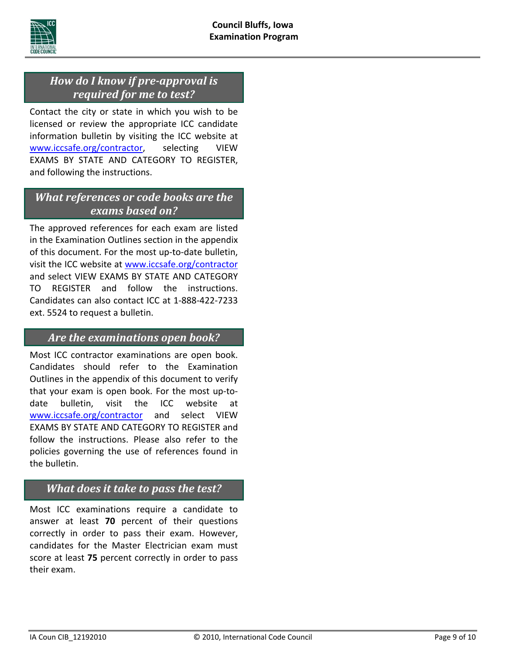

## *How do I know if pre‐approval is required for me to test?*

Contact the city or state in which you wish to be licensed or review the appropriate ICC candidate information bulletin by visiting the ICC website at www.iccsafe.org/contractor, selecting VIEW EXAMS BY STATE AND CATEGORY TO REGISTER, and following the instructions.

## *What references or code books are the exams based on?*

The approved references for each exam are listed in the Examination Outlines section in the appendix of this document. For the most up‐to‐date bulletin, visit the ICC website at www.iccsafe.org/contractor and select VIEW EXAMS BY STATE AND CATEGORY TO REGISTER and follow the instructions. Candidates can also contact ICC at 1‐888‐422‐7233 ext. 5524 to request a bulletin.

## *Are the examinations open book?*

Most ICC contractor examinations are open book. Candidates should refer to the Examination Outlines in the appendix of this document to verify that your exam is open book. For the most up‐to‐ date bulletin, visit the ICC website at www.iccsafe.org/contractor and select VIEW EXAMS BY STATE AND CATEGORY TO REGISTER and follow the instructions. Please also refer to the policies governing the use of references found in the bulletin.

## *What does it take to pass the test?*

Most ICC examinations require a candidate to answer at least **70** percent of their questions correctly in order to pass their exam. However, candidates for the Master Electrician exam must score at least **75** percent correctly in order to pass their exam.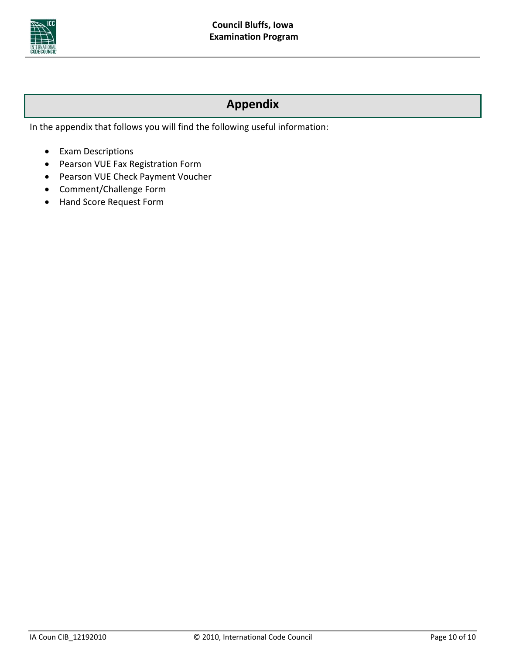

## **Appendix**

In the appendix that follows you will find the following useful information:

- Exam Descriptions
- Pearson VUE Fax Registration Form
- Pearson VUE Check Payment Voucher
- Comment/Challenge Form
- Hand Score Request Form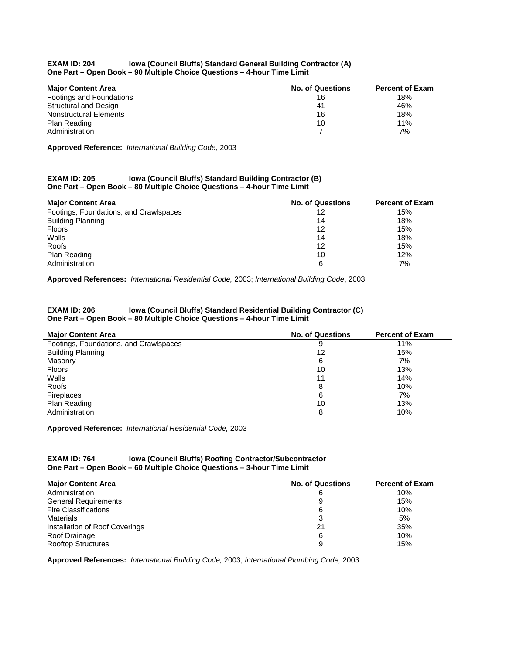#### **EXAM ID: 204 Iowa (Council Bluffs) Standard General Building Contractor (A) One Part – Open Book – 90 Multiple Choice Questions – 4-hour Time Limit**

| <b>Maior Content Area</b> | <b>No. of Questions</b> | <b>Percent of Exam</b> |
|---------------------------|-------------------------|------------------------|
| Footings and Foundations  | 16                      | 18%                    |
| Structural and Design     | 41                      | 46%                    |
| Nonstructural Elements    | 16                      | 18%                    |
| Plan Reading              | 10                      | 11%                    |
| Administration            |                         | 7%                     |

**Approved Reference:** *International Building Code,* 2003

#### **EXAM ID: 205 Iowa (Council Bluffs) Standard Building Contractor (B) One Part – Open Book – 80 Multiple Choice Questions – 4-hour Time Limit**

| <b>Major Content Area</b>              | <b>No. of Questions</b> | <b>Percent of Exam</b> |
|----------------------------------------|-------------------------|------------------------|
| Footings, Foundations, and Crawlspaces | 12                      | 15%                    |
| <b>Building Planning</b>               | 14                      | 18%                    |
| <b>Floors</b>                          | 12                      | 15%                    |
| Walls                                  | 14                      | 18%                    |
| Roofs                                  | 12                      | 15%                    |
| Plan Reading                           | 10                      | 12%                    |
| Administration                         | 6                       | 7%                     |

**Approved References:** *International Residential Code,* 2003; *International Building Code*, 2003

#### **EXAM ID: 206 Iowa (Council Bluffs) Standard Residential Building Contractor (C) One Part – Open Book – 80 Multiple Choice Questions – 4-hour Time Limit**

| <b>Major Content Area</b>              | <b>No. of Questions</b> | <b>Percent of Exam</b> |
|----------------------------------------|-------------------------|------------------------|
| Footings, Foundations, and Crawlspaces | 9                       | 11%                    |
| <b>Building Planning</b>               | 12                      | 15%                    |
| Masonry                                | 6                       | 7%                     |
| <b>Floors</b>                          | 10                      | 13%                    |
| Walls                                  | 11                      | 14%                    |
| Roofs                                  | 8                       | 10%                    |
| Fireplaces                             | 6                       | 7%                     |
| Plan Reading                           | 10                      | 13%                    |
| Administration                         | 8                       | 10%                    |

**Approved Reference:** *International Residential Code,* 2003

#### **EXAM ID: 764 Iowa (Council Bluffs) Roofing Contractor/Subcontractor One Part – Open Book – 60 Multiple Choice Questions – 3-hour Time Limit**

| <b>Major Content Area</b>      | <b>No. of Questions</b> | <b>Percent of Exam</b> |
|--------------------------------|-------------------------|------------------------|
| Administration                 | 6                       | 10%                    |
| <b>General Requirements</b>    | 9                       | 15%                    |
| <b>Fire Classifications</b>    | 6                       | 10%                    |
| <b>Materials</b>               |                         | 5%                     |
| Installation of Roof Coverings | 21                      | 35%                    |
| Roof Drainage                  | 6                       | 10%                    |
| <b>Rooftop Structures</b>      | 9                       | 15%                    |

**Approved References:** *International Building Code,* 2003; *International Plumbing Code,* 2003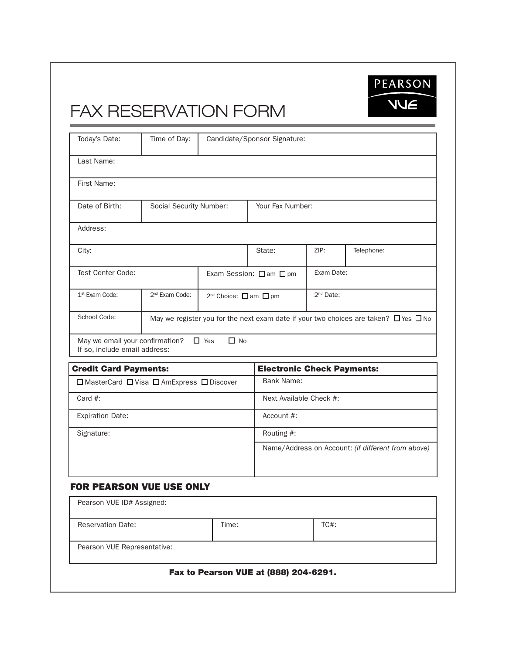FAX RESERVATION FORM

| Today's Date:                                                    | Time of Day:               |                                   | Candidate/Sponsor Signature:      |                       |                                                                                                |
|------------------------------------------------------------------|----------------------------|-----------------------------------|-----------------------------------|-----------------------|------------------------------------------------------------------------------------------------|
| Last Name:                                                       |                            |                                   |                                   |                       |                                                                                                |
| First Name:                                                      |                            |                                   |                                   |                       |                                                                                                |
| Date of Birth:                                                   | Social Security Number:    |                                   | Your Fax Number:                  |                       |                                                                                                |
| Address:                                                         |                            |                                   |                                   |                       |                                                                                                |
| City:                                                            |                            |                                   | State:                            | ZIP:                  | Telephone:                                                                                     |
| <b>Test Center Code:</b>                                         |                            |                                   | Exam Session: □ am □ pm           | Exam Date:            |                                                                                                |
| 1 <sup>st</sup> Exam Code:                                       | 2 <sup>nd</sup> Exam Code: | 2 <sup>nd</sup> Choice: □ am □ pm |                                   | 2 <sup>nd</sup> Date: |                                                                                                |
| School Code:                                                     |                            |                                   |                                   |                       | May we register you for the next exam date if your two choices are taken? $\Box$ Yes $\Box$ No |
| May we email your confirmation?<br>If so, include email address: |                            | $\Box$ Yes<br>$\Box$ No           |                                   |                       |                                                                                                |
|                                                                  |                            |                                   |                                   |                       |                                                                                                |
| <b>Credit Card Payments:</b>                                     |                            |                                   | <b>Electronic Check Payments:</b> |                       |                                                                                                |
| □ MasterCard □ Visa □ AmExpress □ Discover                       |                            |                                   | Bank Name:                        |                       |                                                                                                |
| Card $#$ :                                                       |                            |                                   | Next Available Check #:           |                       |                                                                                                |
| <b>Expiration Date:</b>                                          |                            |                                   | Account #:                        |                       |                                                                                                |
| Signature:                                                       |                            |                                   | Routing #:                        |                       |                                                                                                |
|                                                                  |                            |                                   |                                   |                       | Name/Address on Account: (if different from above)                                             |
| <b>FOR PEARSON VUE USE ONLY</b>                                  |                            |                                   |                                   |                       |                                                                                                |
| Pearson VUE ID# Assigned:                                        |                            |                                   |                                   |                       |                                                                                                |
| <b>Reservation Date:</b>                                         |                            | Time:                             |                                   | TC#:                  |                                                                                                |

PEARSON

**NUE** 

#### Fax to Pearson VUE at (888) 204-6291.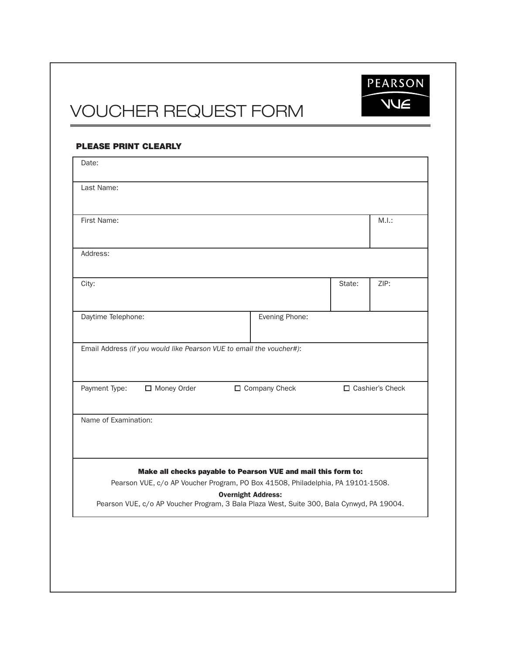PEARSON **NUE** 

# VOUCHER REQUEST FORM

| Date:                                                                                     |                                                                                                                                                  |        |                   |
|-------------------------------------------------------------------------------------------|--------------------------------------------------------------------------------------------------------------------------------------------------|--------|-------------------|
| Last Name:                                                                                |                                                                                                                                                  |        |                   |
| First Name:                                                                               |                                                                                                                                                  |        | M.I.:             |
| Address:                                                                                  |                                                                                                                                                  |        |                   |
|                                                                                           |                                                                                                                                                  |        |                   |
| City:                                                                                     |                                                                                                                                                  | State: | ZIP:              |
| Daytime Telephone:                                                                        | Evening Phone:                                                                                                                                   |        |                   |
| Payment Type:<br>Money Order                                                              | □ Company Check                                                                                                                                  |        | □ Cashier's Check |
| Name of Examination:                                                                      |                                                                                                                                                  |        |                   |
|                                                                                           |                                                                                                                                                  |        |                   |
|                                                                                           | Make all checks payable to Pearson VUE and mail this form to:<br>Pearson VUE, c/o AP Voucher Program, PO Box 41508, Philadelphia, PA 19101-1508. |        |                   |
| Pearson VUE, c/o AP Voucher Program, 3 Bala Plaza West, Suite 300, Bala Cynwyd, PA 19004. | <b>Overnight Address:</b>                                                                                                                        |        |                   |
|                                                                                           |                                                                                                                                                  |        |                   |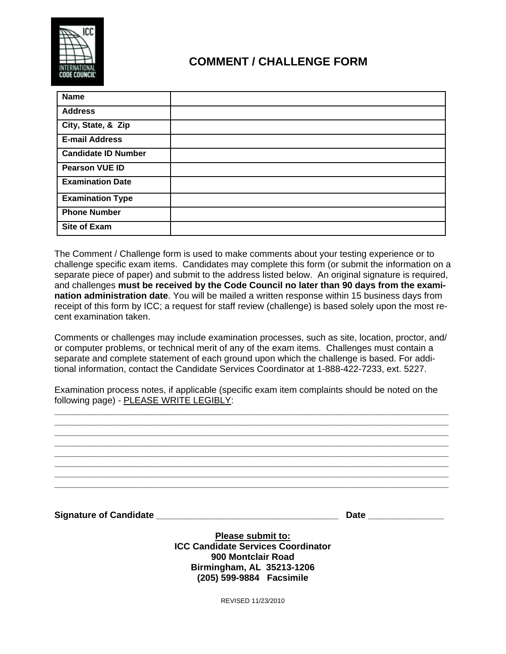

## **COMMENT / CHALLENGE FORM**

| <b>Name</b>                |  |
|----------------------------|--|
| <b>Address</b>             |  |
| City, State, & Zip         |  |
| <b>E-mail Address</b>      |  |
| <b>Candidate ID Number</b> |  |
| <b>Pearson VUE ID</b>      |  |
| <b>Examination Date</b>    |  |
| <b>Examination Type</b>    |  |
| <b>Phone Number</b>        |  |
| <b>Site of Exam</b>        |  |

The Comment / Challenge form is used to make comments about your testing experience or to challenge specific exam items. Candidates may complete this form (or submit the information on a separate piece of paper) and submit to the address listed below. An original signature is required, and challenges **must be received by the Code Council no later than 90 days from the examination administration date**. You will be mailed a written response within 15 business days from receipt of this form by ICC; a request for staff review (challenge) is based solely upon the most recent examination taken.

Comments or challenges may include examination processes, such as site, location, proctor, and/ or computer problems, or technical merit of any of the exam items. Challenges must contain a separate and complete statement of each ground upon which the challenge is based. For additional information, contact the Candidate Services Coordinator at 1-888-422-7233, ext. 5227.

Examination process notes, if applicable (specific exam item complaints should be noted on the following page) - PLEASE WRITE LEGIBLY:

**\_\_\_\_\_\_\_\_\_\_\_\_\_\_\_\_\_\_\_\_\_\_\_\_\_\_\_\_\_\_\_\_\_\_\_\_\_\_\_\_\_\_\_\_\_\_\_\_\_\_\_\_\_\_\_\_\_\_\_\_\_\_\_\_\_\_\_\_\_\_\_\_\_\_\_\_\_\_ \_\_\_\_\_\_\_\_\_\_\_\_\_\_\_\_\_\_\_\_\_\_\_\_\_\_\_\_\_\_\_\_\_\_\_\_\_\_\_\_\_\_\_\_\_\_\_\_\_\_\_\_\_\_\_\_\_\_\_\_\_\_\_\_\_\_\_\_\_\_\_\_\_\_\_\_\_\_ \_\_\_\_\_\_\_\_\_\_\_\_\_\_\_\_\_\_\_\_\_\_\_\_\_\_\_\_\_\_\_\_\_\_\_\_\_\_\_\_\_\_\_\_\_\_\_\_\_\_\_\_\_\_\_\_\_\_\_\_\_\_\_\_\_\_\_\_\_\_\_\_\_\_\_\_\_\_ \_\_\_\_\_\_\_\_\_\_\_\_\_\_\_\_\_\_\_\_\_\_\_\_\_\_\_\_\_\_\_\_\_\_\_\_\_\_\_\_\_\_\_\_\_\_\_\_\_\_\_\_\_\_\_\_\_\_\_\_\_\_\_\_\_\_\_\_\_\_\_\_\_\_\_\_\_\_**

**\_\_\_\_\_\_\_\_\_\_\_\_\_\_\_\_\_\_\_\_\_\_\_\_\_\_\_\_\_\_\_\_\_\_\_\_\_\_\_\_\_\_\_\_\_\_\_\_\_\_\_\_\_\_\_\_\_\_\_\_\_\_\_\_\_\_\_\_\_\_\_\_\_\_\_\_\_\_ \_\_\_\_\_\_\_\_\_\_\_\_\_\_\_\_\_\_\_\_\_\_\_\_\_\_\_\_\_\_\_\_\_\_\_\_\_\_\_\_\_\_\_\_\_\_\_\_\_\_\_\_\_\_\_\_\_\_\_\_\_\_\_\_\_\_\_\_\_\_\_\_\_\_\_\_\_\_ \_\_\_\_\_\_\_\_\_\_\_\_\_\_\_\_\_\_\_\_\_\_\_\_\_\_\_\_\_\_\_\_\_\_\_\_\_\_\_\_\_\_\_\_\_\_\_\_\_\_\_\_\_\_\_\_\_\_\_\_\_\_\_\_\_\_\_\_\_\_\_\_\_\_\_\_\_\_** 

**Signature of Candidate \_\_\_\_\_\_\_\_\_\_\_\_\_\_\_\_\_\_\_\_\_\_\_\_\_\_\_\_\_\_\_\_\_\_\_\_ Date \_\_\_\_\_\_\_\_\_\_\_\_\_\_\_** 

**Please submit to: ICC Candidate Services Coordinator 900 Montclair Road Birmingham, AL 35213-1206 (205) 599-9884 Facsimile** 

REVISED 11/23/2010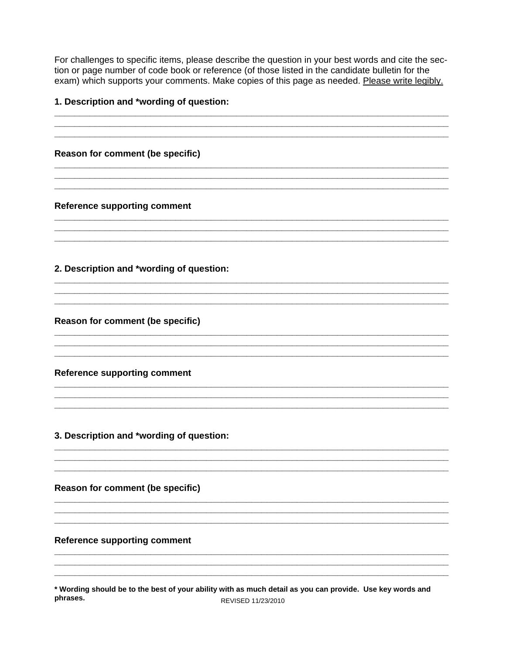For challenges to specific items, please describe the question in your best words and cite the section or page number of code book or reference (of those listed in the candidate bulletin for the exam) which supports your comments. Make copies of this page as needed. Please write legibly.

#### 1. Description and \*wording of question:

Reason for comment (be specific) Reference supporting comment 2. Description and \*wording of question: Reason for comment (be specific) **Reference supporting comment** 3. Description and \*wording of question: Reason for comment (be specific) **Reference supporting comment** 

\* Wording should be to the best of your ability with as much detail as you can provide. Use key words and phrases. REVISED 11/23/2010